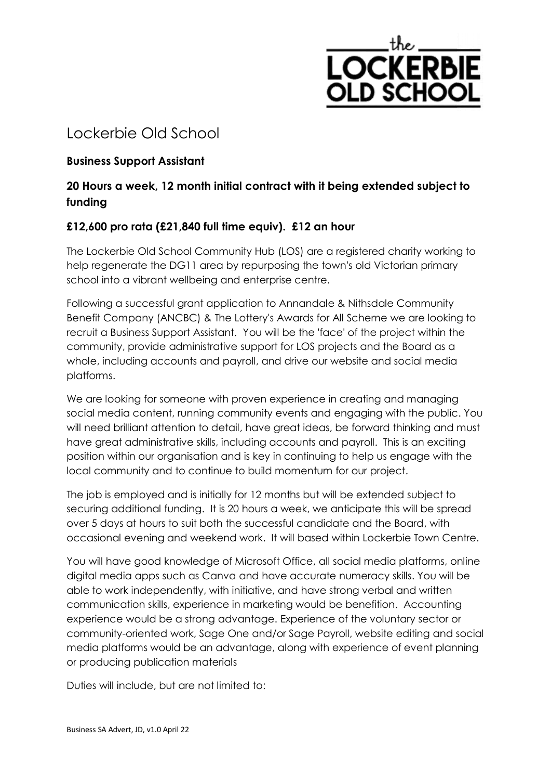

# Lockerbie Old School

## **Business Support Assistant**

# **20 Hours a week, 12 month initial contract with it being extended subject to funding**

## **£12,600 pro rata (£21,840 full time equiv). £12 an hour**

The Lockerbie Old School Community Hub (LOS) are a registered charity working to help regenerate the DG11 area by repurposing the town's old Victorian primary school into a vibrant wellbeing and enterprise centre.

Following a successful grant application to Annandale & Nithsdale Community Benefit Company (ANCBC) & The Lottery's Awards for All Scheme we are looking to recruit a Business Support Assistant. You will be the 'face' of the project within the community, provide administrative support for LOS projects and the Board as a whole, including accounts and payroll, and drive our website and social media platforms.

We are looking for someone with proven experience in creating and managing social media content, running community events and engaging with the public. You will need brilliant attention to detail, have great ideas, be forward thinking and must have great administrative skills, including accounts and payroll. This is an exciting position within our organisation and is key in continuing to help us engage with the local community and to continue to build momentum for our project.

The job is employed and is initially for 12 months but will be extended subject to securing additional funding. It is 20 hours a week, we anticipate this will be spread over 5 days at hours to suit both the successful candidate and the Board, with occasional evening and weekend work. It will based within Lockerbie Town Centre.

You will have good knowledge of Microsoft Office, all social media platforms, online digital media apps such as Canva and have accurate numeracy skills. You will be able to work independently, with initiative, and have strong verbal and written communication skills, experience in marketing would be benefition. Accounting experience would be a strong advantage. Experience of the voluntary sector or community-oriented work, Sage One and/or Sage Payroll, website editing and social media platforms would be an advantage, along with experience of event planning or producing publication materials

Duties will include, but are not limited to: